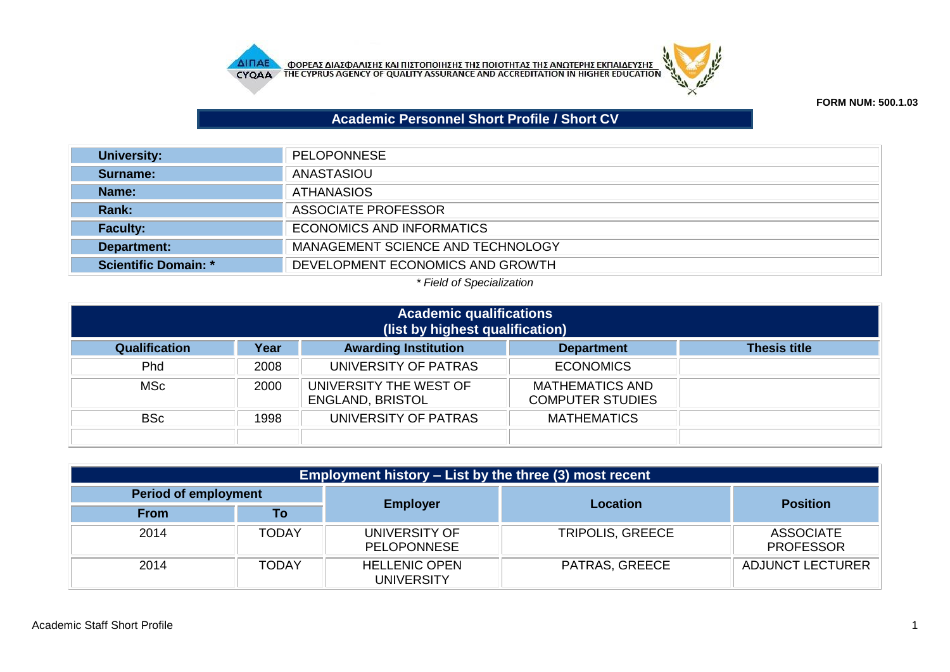



**FORM NUM: 500.1.03**

## **Academic Personnel Short Profile / Short CV**

| University:                 | <b>PELOPONNESE</b>                |
|-----------------------------|-----------------------------------|
| Surname:                    | ANASTASIOU                        |
| Name:                       | <b>ATHANASIOS</b>                 |
| Rank:                       | ASSOCIATE PROFESSOR               |
| <b>Faculty:</b>             | <b>ECONOMICS AND INFORMATICS</b>  |
| Department:                 | MANAGEMENT SCIENCE AND TECHNOLOGY |
| <b>Scientific Domain: *</b> | DEVELOPMENT ECONOMICS AND GROWTH  |

## *\* Field of Specialization*

| <b>Academic qualifications</b><br>(list by highest qualification) |                                                                                 |                                                   |                                                   |  |  |  |
|-------------------------------------------------------------------|---------------------------------------------------------------------------------|---------------------------------------------------|---------------------------------------------------|--|--|--|
| <b>Qualification</b>                                              | <b>Awarding Institution</b><br><b>Thesis title</b><br>Year<br><b>Department</b> |                                                   |                                                   |  |  |  |
| <b>Phd</b>                                                        | 2008                                                                            | UNIVERSITY OF PATRAS                              | <b>ECONOMICS</b>                                  |  |  |  |
| <b>MSc</b>                                                        | 2000                                                                            | UNIVERSITY THE WEST OF<br><b>ENGLAND, BRISTOL</b> | <b>MATHEMATICS AND</b><br><b>COMPUTER STUDIES</b> |  |  |  |
| <b>BSc</b>                                                        | 1998                                                                            | UNIVERSITY OF PATRAS                              | <b>MATHEMATICS</b>                                |  |  |  |
|                                                                   |                                                                                 |                                                   |                                                   |  |  |  |

| Employment history – List by the three (3) most recent |              |                                           |                         |                                      |  |
|--------------------------------------------------------|--------------|-------------------------------------------|-------------------------|--------------------------------------|--|
| <b>Period of employment</b>                            |              |                                           | <b>Location</b>         |                                      |  |
| <b>From</b>                                            | Τo           | <b>Employer</b>                           |                         | <b>Position</b>                      |  |
| 2014                                                   | <b>TODAY</b> | UNIVERSITY OF<br><b>PELOPONNESE</b>       | <b>TRIPOLIS, GREECE</b> | <b>ASSOCIATE</b><br><b>PROFESSOR</b> |  |
| 2014                                                   | <b>TODAY</b> | <b>HELLENIC OPEN</b><br><b>UNIVERSITY</b> | <b>PATRAS, GREECE</b>   | ADJUNCT LECTURER                     |  |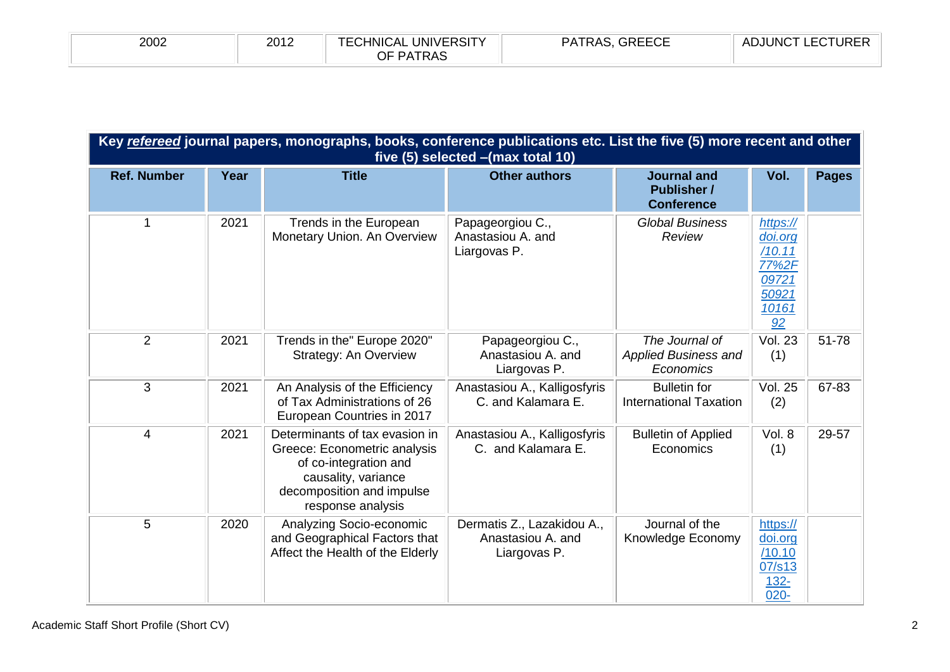| 2002 | 2012 | TEC<br>UNIVERSITY<br>CHNICAL | <b>GREECE</b><br><b>PATRAS</b> | ECTURER.<br><b>ADJUNCT</b> |
|------|------|------------------------------|--------------------------------|----------------------------|
|      |      | <b>DATDAS</b><br>טרא ור      |                                |                            |

| Key refereed journal papers, monographs, books, conference publications etc. List the five (5) more recent and other<br>five (5) selected - (max total 10) |      |                                                                                                                                                                  |                                                                 |                                                               |                                                                                |              |
|------------------------------------------------------------------------------------------------------------------------------------------------------------|------|------------------------------------------------------------------------------------------------------------------------------------------------------------------|-----------------------------------------------------------------|---------------------------------------------------------------|--------------------------------------------------------------------------------|--------------|
| <b>Ref. Number</b>                                                                                                                                         | Year | <b>Title</b>                                                                                                                                                     | <b>Other authors</b>                                            | <b>Journal and</b><br><b>Publisher /</b><br><b>Conference</b> | Vol.                                                                           | <b>Pages</b> |
| 1                                                                                                                                                          | 2021 | Trends in the European<br>Monetary Union. An Overview                                                                                                            | Papageorgiou C.,<br>Anastasiou A. and<br>Liargovas P.           | <b>Global Business</b><br>Review                              | https://<br>doi.org<br>/10.11<br>77%2F<br>09721<br>50921<br><u>10161</u><br>92 |              |
| $\overline{2}$                                                                                                                                             | 2021 | Trends in the" Europe 2020"<br>Strategy: An Overview                                                                                                             | Papageorgiou C.,<br>Anastasiou A. and<br>Liargovas P.           | The Journal of<br><b>Applied Business and</b><br>Economics    | <b>Vol. 23</b><br>(1)                                                          | 51-78        |
| 3                                                                                                                                                          | 2021 | An Analysis of the Efficiency<br>of Tax Administrations of 26<br>European Countries in 2017                                                                      | Anastasiou A., Kalligosfyris<br>C. and Kalamara E.              | <b>Bulletin for</b><br><b>International Taxation</b>          | <b>Vol. 25</b><br>(2)                                                          | 67-83        |
| $\overline{4}$                                                                                                                                             | 2021 | Determinants of tax evasion in<br>Greece: Econometric analysis<br>of co-integration and<br>causality, variance<br>decomposition and impulse<br>response analysis | Anastasiou A., Kalligosfyris<br>C. and Kalamara E.              | <b>Bulletin of Applied</b><br>Economics                       | Vol. 8<br>(1)                                                                  | 29-57        |
| 5                                                                                                                                                          | 2020 | Analyzing Socio-economic<br>and Geographical Factors that<br>Affect the Health of the Elderly                                                                    | Dermatis Z., Lazakidou A.,<br>Anastasiou A. and<br>Liargovas P. | Journal of the<br>Knowledge Economy                           | https://<br>doi.org<br>/10.10<br>07/s13<br><u>132-</u><br>$020 -$              |              |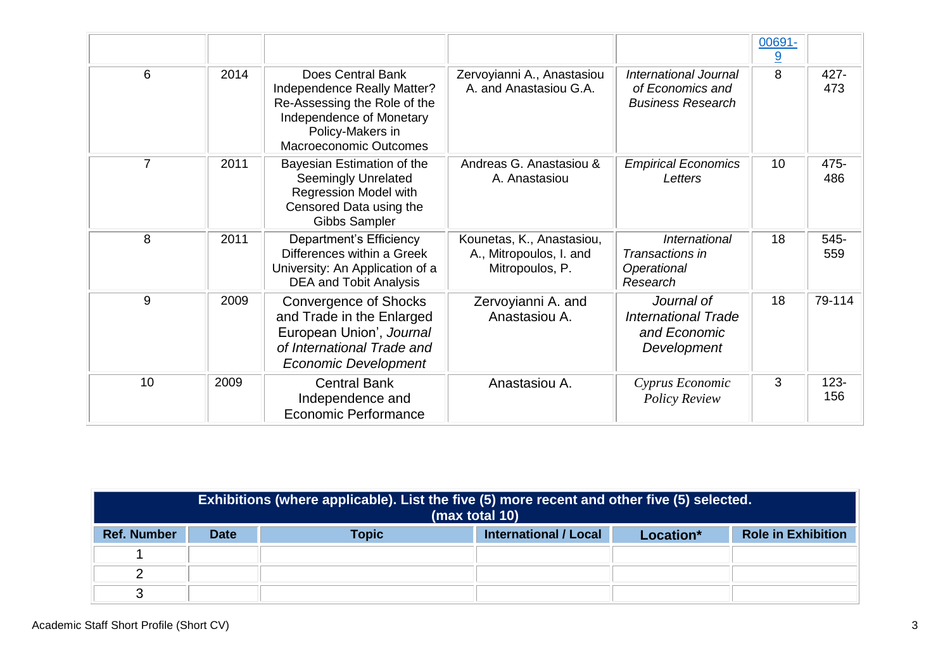|                |      |                                                                                                                                                            |                                                                         |                                                                              | 00691-<br><u>9</u> |                |
|----------------|------|------------------------------------------------------------------------------------------------------------------------------------------------------------|-------------------------------------------------------------------------|------------------------------------------------------------------------------|--------------------|----------------|
| 6              | 2014 | Does Central Bank<br>Independence Really Matter?<br>Re-Assessing the Role of the<br>Independence of Monetary<br>Policy-Makers in<br>Macroeconomic Outcomes | Zervoyianni A., Anastasiou<br>A. and Anastasiou G.A.                    | <b>International Journal</b><br>of Economics and<br><b>Business Research</b> | 8                  | 427-<br>473    |
| $\overline{7}$ | 2011 | Bayesian Estimation of the<br><b>Seemingly Unrelated</b><br>Regression Model with<br>Censored Data using the<br>Gibbs Sampler                              | Andreas G. Anastasiou &<br>A. Anastasiou                                | <b>Empirical Economics</b><br>Letters                                        | 10                 | 475-<br>486    |
| 8              | 2011 | Department's Efficiency<br>Differences within a Greek<br>University: An Application of a<br><b>DEA and Tobit Analysis</b>                                  | Kounetas, K., Anastasiou,<br>A., Mitropoulos, I. and<br>Mitropoulos, P. | International<br>Transactions in<br>Operational<br>Research                  | 18                 | 545-<br>559    |
| 9              | 2009 | <b>Convergence of Shocks</b><br>and Trade in the Enlarged<br>European Union', Journal<br>of International Trade and<br><b>Economic Development</b>         | Zervoyianni A. and<br>Anastasiou A.                                     | Journal of<br><b>International Trade</b><br>and Economic<br>Development      | 18                 | 79-114         |
| 10             | 2009 | <b>Central Bank</b><br>Independence and<br>Economic Performance                                                                                            | Anastasiou A.                                                           | Cyprus Economic<br><b>Policy Review</b>                                      | 3                  | $123 -$<br>156 |

| Exhibitions (where applicable). List the five (5) more recent and other five (5) selected.<br>(max total 10) |             |              |                              |           |                           |
|--------------------------------------------------------------------------------------------------------------|-------------|--------------|------------------------------|-----------|---------------------------|
| <b>Ref. Number</b>                                                                                           | <b>Date</b> | <b>Topic</b> | <b>International / Local</b> | Location* | <b>Role in Exhibition</b> |
|                                                                                                              |             |              |                              |           |                           |
|                                                                                                              |             |              |                              |           |                           |
|                                                                                                              |             |              |                              |           |                           |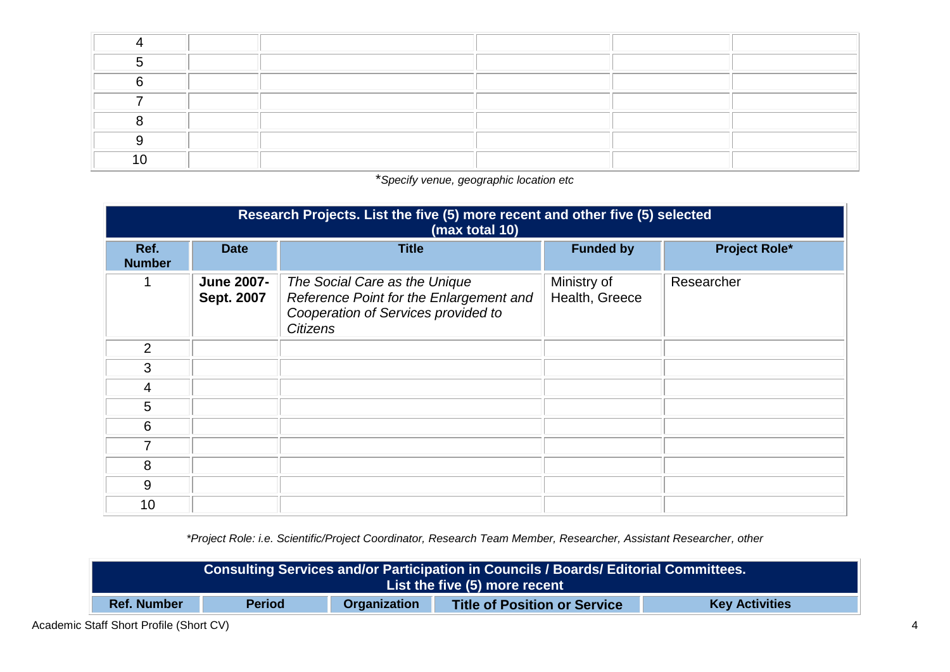\**Specify venue, geographic location etc*

|                       | Research Projects. List the five (5) more recent and other five (5) selected<br>(max total 10) |                                                                                                                                    |                               |                      |  |  |  |
|-----------------------|------------------------------------------------------------------------------------------------|------------------------------------------------------------------------------------------------------------------------------------|-------------------------------|----------------------|--|--|--|
| Ref.<br><b>Number</b> | <b>Date</b>                                                                                    | <b>Title</b>                                                                                                                       | <b>Funded by</b>              | <b>Project Role*</b> |  |  |  |
| 1                     | <b>June 2007-</b><br><b>Sept. 2007</b>                                                         | The Social Care as the Unique<br>Reference Point for the Enlargement and<br>Cooperation of Services provided to<br><b>Citizens</b> | Ministry of<br>Health, Greece | Researcher           |  |  |  |
| $\overline{2}$        |                                                                                                |                                                                                                                                    |                               |                      |  |  |  |
| 3                     |                                                                                                |                                                                                                                                    |                               |                      |  |  |  |
| 4                     |                                                                                                |                                                                                                                                    |                               |                      |  |  |  |
| 5                     |                                                                                                |                                                                                                                                    |                               |                      |  |  |  |
| 6                     |                                                                                                |                                                                                                                                    |                               |                      |  |  |  |
| 7                     |                                                                                                |                                                                                                                                    |                               |                      |  |  |  |
| 8                     |                                                                                                |                                                                                                                                    |                               |                      |  |  |  |
| 9                     |                                                                                                |                                                                                                                                    |                               |                      |  |  |  |
| 10                    |                                                                                                |                                                                                                                                    |                               |                      |  |  |  |

*\*Project Role: i.e. Scientific/Project Coordinator, Research Team Member, Researcher, Assistant Researcher, other*

| Consulting Services and/or Participation in Councils / Boards/ Editorial Committees.                                |  |  |  |  |
|---------------------------------------------------------------------------------------------------------------------|--|--|--|--|
| List the five (5) more recent                                                                                       |  |  |  |  |
| <b>Ref. Number</b><br><b>Period</b><br><b>Key Activities</b><br>Organization<br><b>Title of Position or Service</b> |  |  |  |  |

Academic Staff Short Profile (Short CV) 4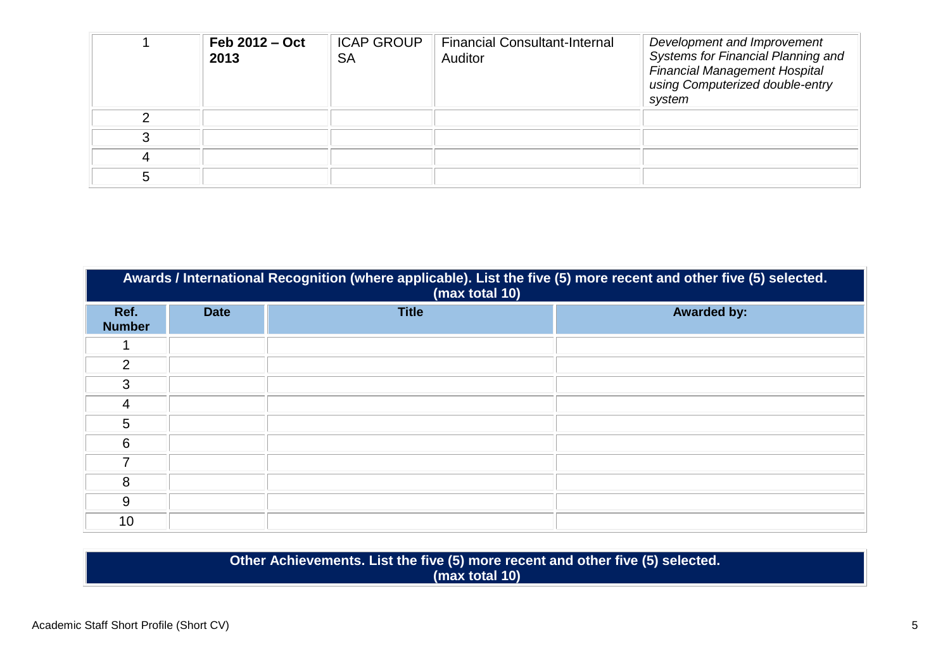| Feb $2012 - Oct$<br>2013 | <b>ICAP GROUP</b><br><b>SA</b> | <b>Financial Consultant-Internal</b><br>Auditor | Development and Improvement<br>Systems for Financial Planning and<br><b>Financial Management Hospital</b><br>using Computerized double-entry<br>system |
|--------------------------|--------------------------------|-------------------------------------------------|--------------------------------------------------------------------------------------------------------------------------------------------------------|
|                          |                                |                                                 |                                                                                                                                                        |
|                          |                                |                                                 |                                                                                                                                                        |
|                          |                                |                                                 |                                                                                                                                                        |
|                          |                                |                                                 |                                                                                                                                                        |

| Awards / International Recognition (where applicable). List the five (5) more recent and other five (5) selected.<br>(max total 10) |             |              |                    |  |  |
|-------------------------------------------------------------------------------------------------------------------------------------|-------------|--------------|--------------------|--|--|
| Ref.<br><b>Number</b>                                                                                                               | <b>Date</b> | <b>Title</b> | <b>Awarded by:</b> |  |  |
|                                                                                                                                     |             |              |                    |  |  |
| 2                                                                                                                                   |             |              |                    |  |  |
| 3                                                                                                                                   |             |              |                    |  |  |
| 4                                                                                                                                   |             |              |                    |  |  |
| 5                                                                                                                                   |             |              |                    |  |  |
| 6                                                                                                                                   |             |              |                    |  |  |
| 7                                                                                                                                   |             |              |                    |  |  |
| 8                                                                                                                                   |             |              |                    |  |  |
| 9                                                                                                                                   |             |              |                    |  |  |
| 10                                                                                                                                  |             |              |                    |  |  |

**Other Achievements. List the five (5) more recent and other five (5) selected. (max total 10)**